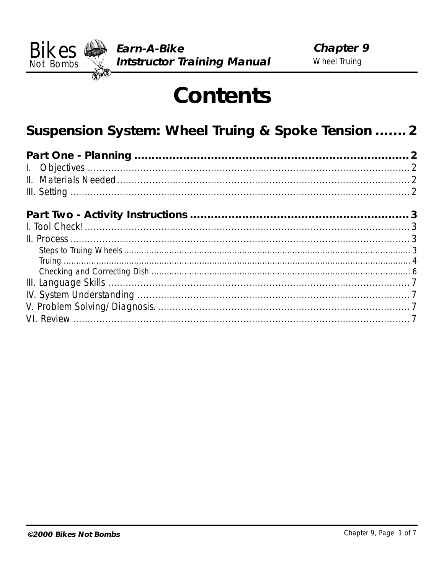

# **Contents**

# Suspension System: Wheel Truing & Spoke Tension ....... 2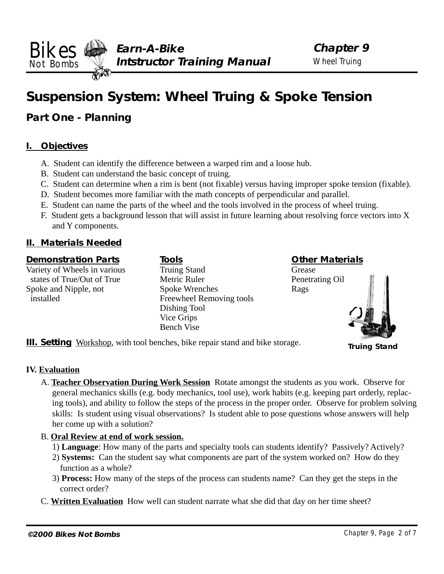## <span id="page-1-0"></span>**Suspension System: Wheel Truing & Spoke Tension**

## **Part One - Planning**

## **I. Objectives**

A. Student can identify the difference between a warped rim and a loose hub.

**III. Setting** Workshop, with tool benches, bike repair stand and bike storage.

- B. Student can understand the basic concept of truing.
- C. Student can determine when a rim is bent (not fixable) versus having improper spoke tension (fixable).
- D. Student becomes more familiar with the math concepts of perpendicular and parallel.
- E. Student can name the parts of the wheel and the tools involved in the process of wheel truing.
- F. Student gets a background lesson that will assist in future learning about resolving force vectors into X and Y components.

## **II. Materials Needed**

## **Demonstration Parts**

Variety of Wheels in various states of True/Out of True Spoke and Nipple, not installed

**Tools** Truing Stand Metric Ruler Spoke Wrenches Freewheel Removing tools Dishing Tool Vice Grips Bench Vise

**Other Materials**

Grease Penetrating Oil Rags



**Truing Stand**

## **IV. Evaluation**

A. **Teacher Observation During Work Session** Rotate amongst the students as you work. Observe for general mechanics skills (e.g. body mechanics, tool use), work habits (e.g. keeping part orderly, replacing tools), and ability to follow the steps of the process in the proper order. Observe for problem solving skills: Is student using visual observations? Is student able to pose questions whose answers will help her come up with a solution?

## B. **Oral Review at end of work session.**

- 1) **Language**: How many of the parts and specialty tools can students identify? Passively? Actively?
- 2) **Systems:** Can the student say what components are part of the system worked on? How do they function as a whole?
- 3) **Process:** How many of the steps of the process can students name? Can they get the steps in the correct order?
- C. **Written Evaluation** How well can student narrate what she did that day on her time sheet?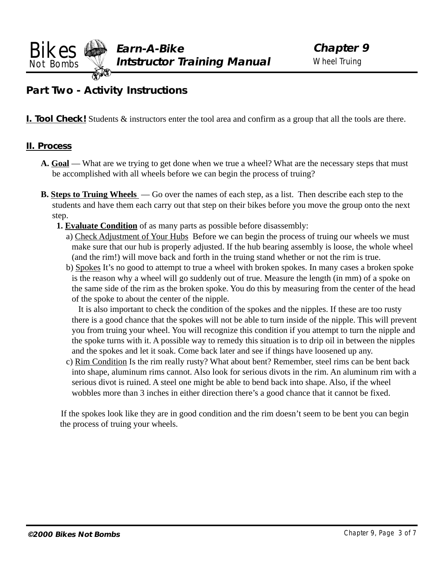<span id="page-2-0"></span>**Bikes**  $\bigotimes$  Earn-A-Bike Chapter 9 **Not Bombs Well Intstructor Training Manual** Wheel Truing

## **Part Two - Activity Instructions**

**I. Tool Check!** Students & instructors enter the tool area and confirm as a group that all the tools are there.

## **II. Process**

- **A. Goal** What are we trying to get done when we true a wheel? What are the necessary steps that must be accomplished with all wheels before we can begin the process of truing?
- **B. Steps to Truing Wheels**  Go over the names of each step, as a list. Then describe each step to the students and have them each carry out that step on their bikes before you move the group onto the next step.
	- **1. Evaluate Condition** of as many parts as possible before disassembly:
		- a) Check Adjustment of Your Hubs Before we can begin the process of truing our wheels we must make sure that our hub is properly adjusted. If the hub bearing assembly is loose, the whole wheel (and the rim!) will move back and forth in the truing stand whether or not the rim is true.
		- b) Spokes It's no good to attempt to true a wheel with broken spokes. In many cases a broken spoke is the reason why a wheel will go suddenly out of true. Measure the length (in mm) of a spoke on the same side of the rim as the broken spoke. You do this by measuring from the center of the head of the spoke to about the center of the nipple.

It is also important to check the condition of the spokes and the nipples. If these are too rusty there is a good chance that the spokes will not be able to turn inside of the nipple. This will prevent you from truing your wheel. You will recognize this condition if you attempt to turn the nipple and the spoke turns with it. A possible way to remedy this situation is to drip oil in between the nipples and the spokes and let it soak. Come back later and see if things have loosened up any.

c) Rim Condition Is the rim really rusty? What about bent? Remember, steel rims can be bent back into shape, aluminum rims cannot. Also look for serious divots in the rim. An aluminum rim with a serious divot is ruined. A steel one might be able to bend back into shape. Also, if the wheel wobbles more than 3 inches in either direction there's a good chance that it cannot be fixed.

 If the spokes look like they are in good condition and the rim doesn't seem to be bent you can begin the process of truing your wheels.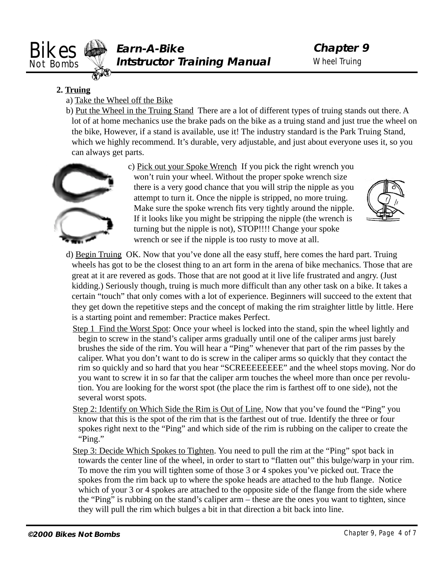<span id="page-3-0"></span>

## **2. Truing**

- a) Take the Wheel off the Bike
- b) Put the Wheel in the Truing Stand There are a lot of different types of truing stands out there. A lot of at home mechanics use the brake pads on the bike as a truing stand and just true the wheel on the bike, However, if a stand is available, use it! The industry standard is the Park Truing Stand, which we highly recommend. It's durable, very adjustable, and just about everyone uses it, so you can always get parts.



c) Pick out your Spoke Wrench If you pick the right wrench you won't ruin your wheel. Without the proper spoke wrench size there is a very good chance that you will strip the nipple as you attempt to turn it. Once the nipple is stripped, no more truing. Make sure the spoke wrench fits very tightly around the nipple. If it looks like you might be stripping the nipple (the wrench is turning but the nipple is not), STOP!!!! Change your spoke wrench or see if the nipple is too rusty to move at all.



- d) Begin Truing OK. Now that you've done all the easy stuff, here comes the hard part. Truing wheels has got to be the closest thing to an art form in the arena of bike mechanics. Those that are great at it are revered as gods. Those that are not good at it live life frustrated and angry. (Just kidding.) Seriously though, truing is much more difficult than any other task on a bike. It takes a certain "touch" that only comes with a lot of experience. Beginners will succeed to the extent that they get down the repetitive steps and the concept of making the rim straighter little by little. Here is a starting point and remember: Practice makes Perfect.
	- Step 1 Find the Worst Spot: Once your wheel is locked into the stand, spin the wheel lightly and begin to screw in the stand's caliper arms gradually until one of the caliper arms just barely brushes the side of the rim. You will hear a "Ping" whenever that part of the rim passes by the caliper. What you don't want to do is screw in the caliper arms so quickly that they contact the rim so quickly and so hard that you hear "SCREEEEEEEE" and the wheel stops moving. Nor do you want to screw it in so far that the caliper arm touches the wheel more than once per revolution. You are looking for the worst spot (the place the rim is farthest off to one side), not the several worst spots.
	- Step 2: Identify on Which Side the Rim is Out of Line. Now that you've found the "Ping" you know that this is the spot of the rim that is the farthest out of true. Identify the three or four spokes right next to the "Ping" and which side of the rim is rubbing on the caliper to create the "Ping."
	- Step 3: Decide Which Spokes to Tighten. You need to pull the rim at the "Ping" spot back in towards the center line of the wheel, in order to start to "flatten out" this bulge/warp in your rim. To move the rim you will tighten some of those 3 or 4 spokes you've picked out. Trace the spokes from the rim back up to where the spoke heads are attached to the hub flange. Notice which of your 3 or 4 spokes are attached to the opposite side of the flange from the side where the "Ping" is rubbing on the stand's caliper arm – these are the ones you want to tighten, since they will pull the rim which bulges a bit in that direction a bit back into line.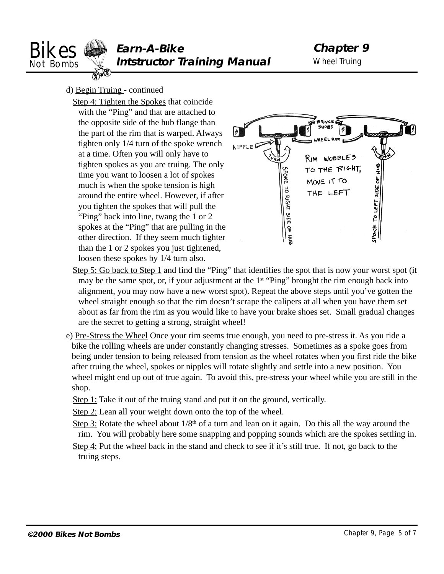

- d) Begin Truing continued
	- Step 4: Tighten the Spokes that coincide with the "Ping" and that are attached to the opposite side of the hub flange than the part of the rim that is warped. Always tighten only 1/4 turn of the spoke wrench at a time. Often you will only have to tighten spokes as you are truing. The only time you want to loosen a lot of spokes much is when the spoke tension is high around the entire wheel. However, if after you tighten the spokes that will pull the "Ping" back into line, twang the 1 or 2 spokes at the "Ping" that are pulling in the other direction. If they seem much tighter than the 1 or 2 spokes you just tightened, loosen these spokes by 1/4 turn also.



- Step 5: Go back to Step 1 and find the "Ping" that identifies the spot that is now your worst spot (it may be the same spot, or, if your adjustment at the  $1<sup>st</sup>$  "Ping" brought the rim enough back into alignment, you may now have a new worst spot). Repeat the above steps until you've gotten the wheel straight enough so that the rim doesn't scrape the calipers at all when you have them set about as far from the rim as you would like to have your brake shoes set. Small gradual changes are the secret to getting a strong, straight wheel!
- e) Pre-Stress the Wheel Once your rim seems true enough, you need to pre-stress it. As you ride a bike the rolling wheels are under constantly changing stresses. Sometimes as a spoke goes from being under tension to being released from tension as the wheel rotates when you first ride the bike after truing the wheel, spokes or nipples will rotate slightly and settle into a new position. You wheel might end up out of true again. To avoid this, pre-stress your wheel while you are still in the shop.
	- Step 1: Take it out of the truing stand and put it on the ground, vertically.
	- Step 2: Lean all your weight down onto the top of the wheel.
	- Step 3: Rotate the wheel about  $1/8<sup>th</sup>$  of a turn and lean on it again. Do this all the way around the rim. You will probably here some snapping and popping sounds which are the spokes settling in.
	- Step 4: Put the wheel back in the stand and check to see if it's still true. If not, go back to the truing steps.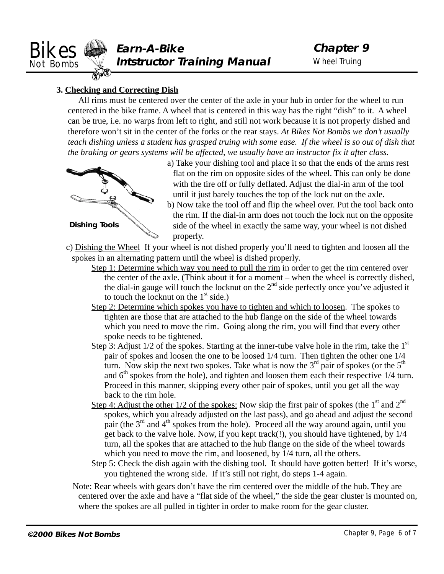<span id="page-5-0"></span>

## **3. Checking and Correcting Dish**

All rims must be centered over the center of the axle in your hub in order for the wheel to run centered in the bike frame. A wheel that is centered in this way has the right "dish" to it. A wheel can be true, i.e. no warps from left to right, and still not work because it is not properly dished and therefore won't sit in the center of the forks or the rear stays. *At Bikes Not Bombs we don't usually teach dishing unless a student has grasped truing with some ease. If the wheel is so out of dish that the braking or gears systems will be affected, we usually have an instructor fix it after class.*



a) Take your dishing tool and place it so that the ends of the arms rest flat on the rim on opposite sides of the wheel. This can only be done with the tire off or fully deflated. Adjust the dial-in arm of the tool until it just barely touches the top of the lock nut on the axle.

b) Now take the tool off and flip the wheel over. Put the tool back onto the rim. If the dial-in arm does not touch the lock nut on the opposite side of the wheel in exactly the same way, your wheel is not dished properly.

c) Dishing the Wheel If your wheel is not dished properly you'll need to tighten and loosen all the spokes in an alternating pattern until the wheel is dished properly.

- Step 1: Determine which way you need to pull the rim in order to get the rim centered over the center of the axle. (Think about it for a moment – when the wheel is correctly dished, the dial-in gauge will touch the locknut on the  $2<sup>nd</sup>$  side perfectly once you've adjusted it to touch the locknut on the  $1<sup>st</sup>$  side.)
- Step 2: Determine which spokes you have to tighten and which to loosen. The spokes to tighten are those that are attached to the hub flange on the side of the wheel towards which you need to move the rim. Going along the rim, you will find that every other spoke needs to be tightened.
- Step 3: Adjust  $1/2$  of the spokes. Starting at the inner-tube valve hole in the rim, take the  $1<sup>st</sup>$ pair of spokes and loosen the one to be loosed 1/4 turn. Then tighten the other one 1/4 turn. Now skip the next two spokes. Take what is now the  $3<sup>rd</sup>$  pair of spokes (or the  $5<sup>th</sup>$ and  $6<sup>th</sup>$  spokes from the hole), and tighten and loosen them each their respective  $1/4$  turn. Proceed in this manner, skipping every other pair of spokes, until you get all the way back to the rim hole.
- Step 4: Adjust the other 1/2 of the spokes: Now skip the first pair of spokes (the 1<sup>st</sup> and  $2^{nd}$ ) spokes, which you already adjusted on the last pass), and go ahead and adjust the second pair (the  $3<sup>rd</sup>$  and  $4<sup>th</sup>$  spokes from the hole). Proceed all the way around again, until you get back to the valve hole. Now, if you kept track(!), you should have tightened, by 1/4 turn, all the spokes that are attached to the hub flange on the side of the wheel towards which you need to move the rim, and loosened, by  $1/4$  turn, all the others.
- Step 5: Check the dish again with the dishing tool. It should have gotten better! If it's worse, you tightened the wrong side. If it's still not right, do steps 1-4 again.

Note: Rear wheels with gears don't have the rim centered over the middle of the hub. They are centered over the axle and have a "flat side of the wheel," the side the gear cluster is mounted on, where the spokes are all pulled in tighter in order to make room for the gear cluster.